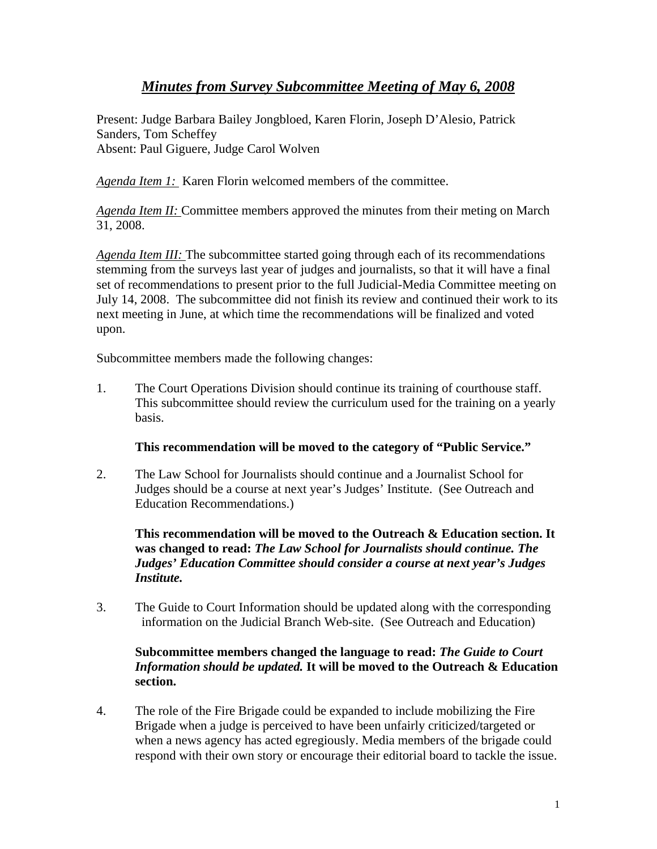# *Minutes from Survey Subcommittee Meeting of May 6, 2008*

Present: Judge Barbara Bailey Jongbloed, Karen Florin, Joseph D'Alesio, Patrick Sanders, Tom Scheffey Absent: Paul Giguere, Judge Carol Wolven

*Agenda Item 1:* Karen Florin welcomed members of the committee.

*Agenda Item II:* Committee members approved the minutes from their meting on March 31, 2008.

*Agenda Item III:* The subcommittee started going through each of its recommendations stemming from the surveys last year of judges and journalists, so that it will have a final set of recommendations to present prior to the full Judicial-Media Committee meeting on July 14, 2008. The subcommittee did not finish its review and continued their work to its next meeting in June, at which time the recommendations will be finalized and voted upon.

Subcommittee members made the following changes:

1. The Court Operations Division should continue its training of courthouse staff. This subcommittee should review the curriculum used for the training on a yearly basis.

## **This recommendation will be moved to the category of "Public Service."**

2. The Law School for Journalists should continue and a Journalist School for Judges should be a course at next year's Judges' Institute. (See Outreach and Education Recommendations.)

**This recommendation will be moved to the Outreach & Education section. It was changed to read:** *The Law School for Journalists should continue. The Judges' Education Committee should consider a course at next year's Judges Institute.* 

3. The Guide to Court Information should be updated along with the corresponding information on the Judicial Branch Web-site. (See Outreach and Education)

### **Subcommittee members changed the language to read:** *The Guide to Court Information should be updated.* **It will be moved to the Outreach & Education section.**

4. The role of the Fire Brigade could be expanded to include mobilizing the Fire Brigade when a judge is perceived to have been unfairly criticized/targeted or when a news agency has acted egregiously. Media members of the brigade could respond with their own story or encourage their editorial board to tackle the issue.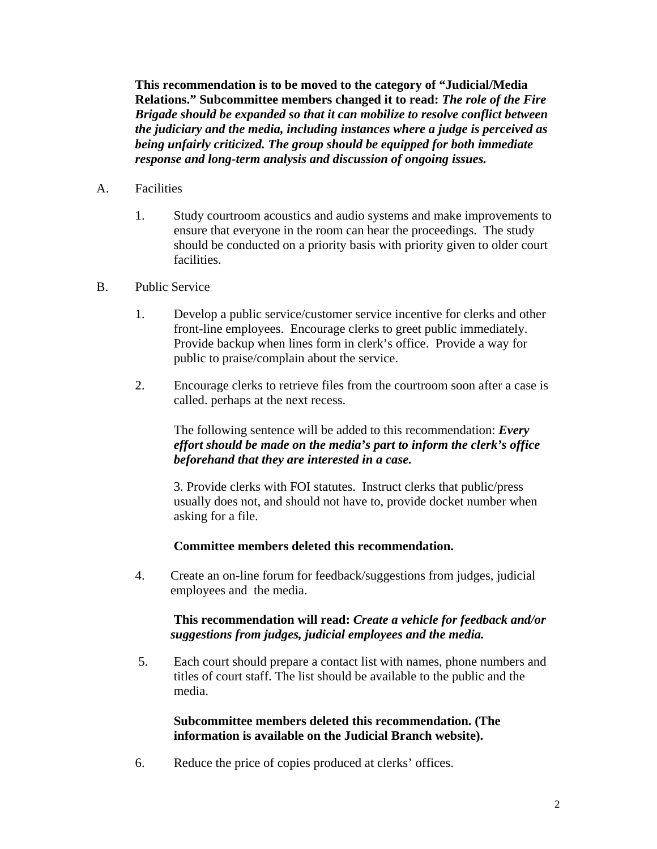**This recommendation is to be moved to the category of "Judicial/Media Relations." Subcommittee members changed it to read:** *The role of the Fire Brigade should be expanded so that it can mobilize to resolve conflict between the judiciary and the media, including instances where a judge is perceived as being unfairly criticized. The group should be equipped for both immediate response and long-term analysis and discussion of ongoing issues.* 

- A. Facilities
	- 1. Study courtroom acoustics and audio systems and make improvements to ensure that everyone in the room can hear the proceedings. The study should be conducted on a priority basis with priority given to older court facilities.
- B. Public Service
	- 1. Develop a public service/customer service incentive for clerks and other front-line employees. Encourage clerks to greet public immediately. Provide backup when lines form in clerk's office. Provide a way for public to praise/complain about the service.
	- 2. Encourage clerks to retrieve files from the courtroom soon after a case is called. perhaps at the next recess.

 The following sentence will be added to this recommendation: *Every effort should be made on the media's part to inform the clerk's office beforehand that they are interested in a case.* 

3. Provide clerks with FOI statutes. Instruct clerks that public/press usually does not, and should not have to, provide docket number when asking for a file.

**Committee members deleted this recommendation.** 

4. Create an on-line forum for feedback/suggestions from judges, judicial employees and the media.

## **This recommendation will read:** *Create a vehicle for feedback and/or suggestions from judges, judicial employees and the media.*

 5. Each court should prepare a contact list with names, phone numbers and titles of court staff. The list should be available to the public and the media.

**Subcommittee members deleted this recommendation. (The information is available on the Judicial Branch website).**

6. Reduce the price of copies produced at clerks' offices.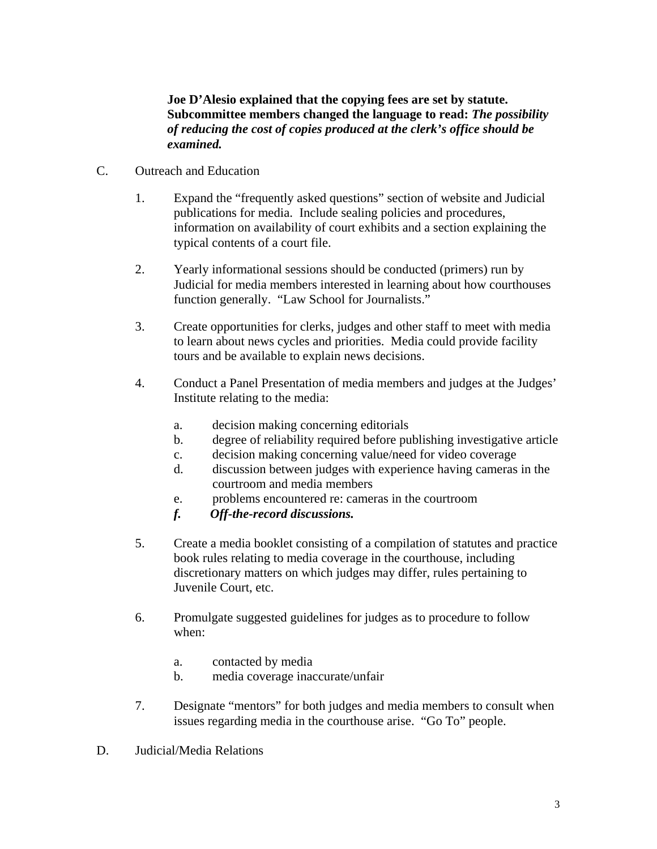### **Joe D'Alesio explained that the copying fees are set by statute. Subcommittee members changed the language to read:** *The possibility of reducing the cost of copies produced at the clerk's office should be examined.*

- C. Outreach and Education
	- 1. Expand the "frequently asked questions" section of website and Judicial publications for media. Include sealing policies and procedures, information on availability of court exhibits and a section explaining the typical contents of a court file.
	- 2. Yearly informational sessions should be conducted (primers) run by Judicial for media members interested in learning about how courthouses function generally. "Law School for Journalists."
	- 3. Create opportunities for clerks, judges and other staff to meet with media to learn about news cycles and priorities. Media could provide facility tours and be available to explain news decisions.
	- 4. Conduct a Panel Presentation of media members and judges at the Judges' Institute relating to the media:
		- a. decision making concerning editorials
		- b. degree of reliability required before publishing investigative article
		- c. decision making concerning value/need for video coverage
		- d. discussion between judges with experience having cameras in the courtroom and media members
		- e. problems encountered re: cameras in the courtroom
		- *f. Off-the-record discussions.*
	- 5. Create a media booklet consisting of a compilation of statutes and practice book rules relating to media coverage in the courthouse, including discretionary matters on which judges may differ, rules pertaining to Juvenile Court, etc.
	- 6. Promulgate suggested guidelines for judges as to procedure to follow when:
		- a. contacted by media
		- b. media coverage inaccurate/unfair
	- 7. Designate "mentors" for both judges and media members to consult when issues regarding media in the courthouse arise. "Go To" people.
- D. Judicial/Media Relations